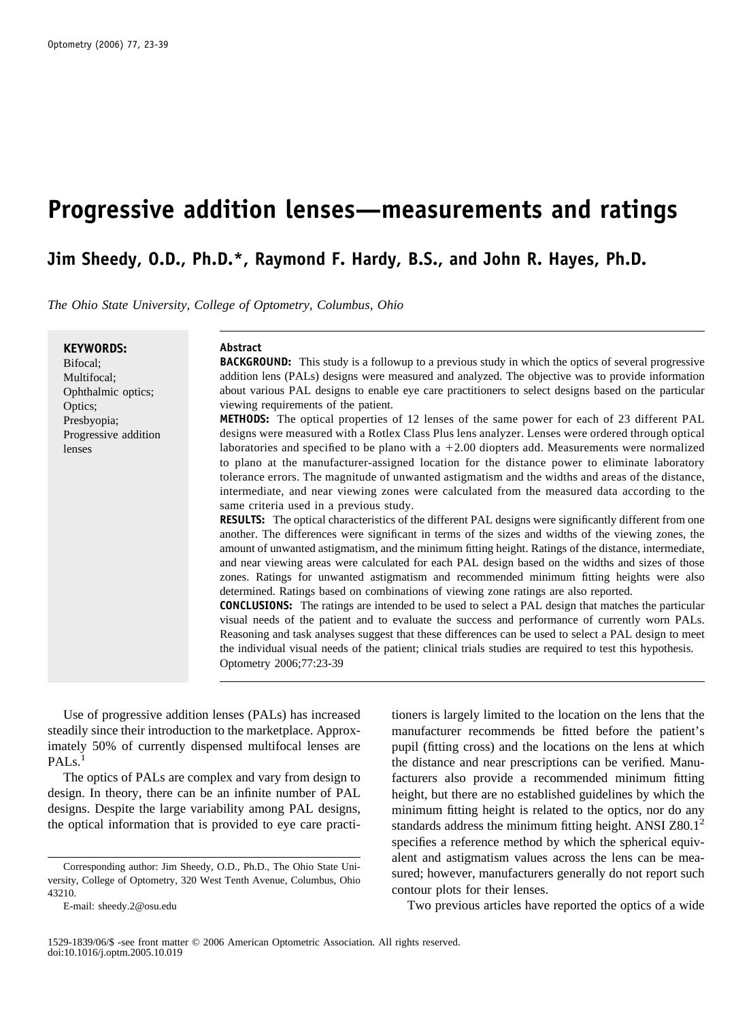# **Progressive addition lenses—measurements and ratings**

**Jim Sheedy, O.D., Ph.D.\*, Raymond F. Hardy, B.S., and John R. Hayes, Ph.D.**

*The Ohio State University, College of Optometry, Columbus, Ohio*

**KEYWORDS:** Bifocal; Multifocal; Ophthalmic optics; Optics; Presbyopia; Progressive addition lenses

#### **Abstract**

**BACKGROUND:** This study is a followup to a previous study in which the optics of several progressive addition lens (PALs) designs were measured and analyzed. The objective was to provide information about various PAL designs to enable eye care practitioners to select designs based on the particular viewing requirements of the patient.

**METHODS:** The optical properties of 12 lenses of the same power for each of 23 different PAL designs were measured with a Rotlex Class Plus lens analyzer. Lenses were ordered through optical laboratories and specified to be plano with a  $+2.00$  diopters add. Measurements were normalized to plano at the manufacturer-assigned location for the distance power to eliminate laboratory tolerance errors. The magnitude of unwanted astigmatism and the widths and areas of the distance, intermediate, and near viewing zones were calculated from the measured data according to the same criteria used in a previous study.

**RESULTS:** The optical characteristics of the different PAL designs were significantly different from one another. The differences were significant in terms of the sizes and widths of the viewing zones, the amount of unwanted astigmatism, and the minimum fitting height. Ratings of the distance, intermediate, and near viewing areas were calculated for each PAL design based on the widths and sizes of those zones. Ratings for unwanted astigmatism and recommended minimum fitting heights were also determined. Ratings based on combinations of viewing zone ratings are also reported.

**CONCLUSIONS:** The ratings are intended to be used to select a PAL design that matches the particular visual needs of the patient and to evaluate the success and performance of currently worn PALs. Reasoning and task analyses suggest that these differences can be used to select a PAL design to meet the individual visual needs of the patient; clinical trials studies are required to test this hypothesis. Optometry 2006;77:23-39

Use of progressive addition lenses (PALs) has increased steadily since their introduction to the marketplace. Approximately 50% of currently dispensed multifocal lenses are  $PALs.<sup>1</sup>$ 

The optics of PALs are complex and vary from design to design. In theory, there can be an infinite number of PAL designs. Despite the large variability among PAL designs, the optical information that is provided to eye care practi-

tioners is largely limited to the location on the lens that the manufacturer recommends be fitted before the patient's pupil (fitting cross) and the locations on the lens at which the distance and near prescriptions can be verified. Manufacturers also provide a recommended minimum fitting height, but there are no established guidelines by which the minimum fitting height is related to the optics, nor do any standards address the minimum fitting height. ANSI  $Z80.1^2$ specifies a reference method by which the spherical equivalent and astigmatism values across the lens can be measured; however, manufacturers generally do not report such contour plots for their lenses.

Two previous articles have reported the optics of a wide

Corresponding author: Jim Sheedy, O.D., Ph.D., The Ohio State University, College of Optometry, 320 West Tenth Avenue, Columbus, Ohio 43210.

E-mail: sheedy.2@osu.edu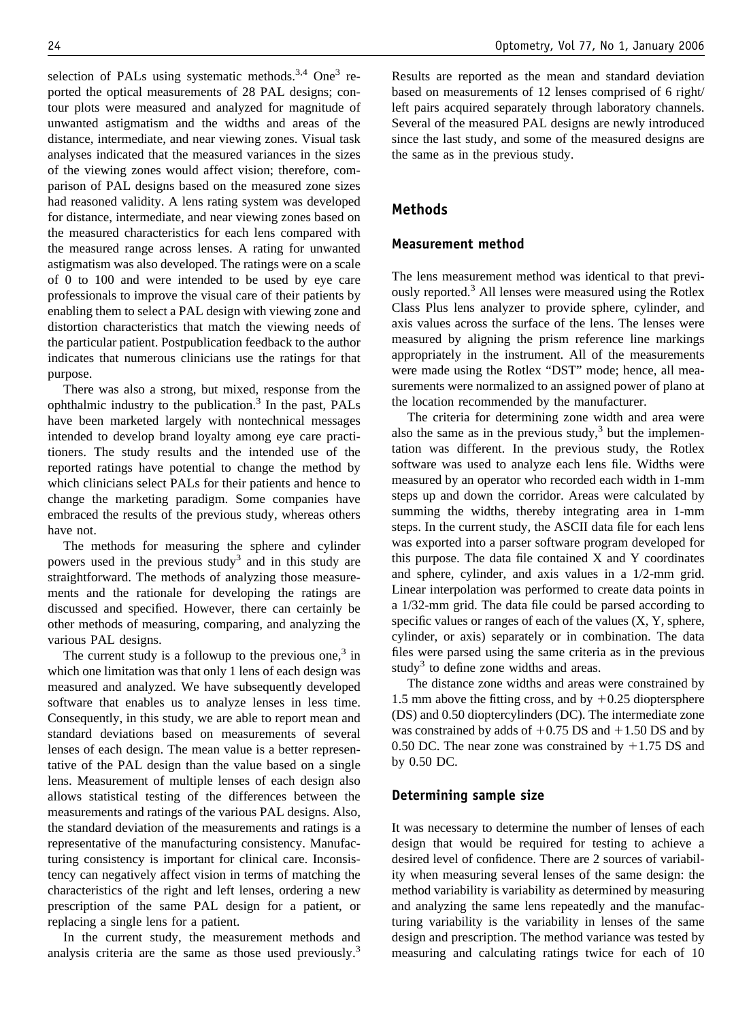selection of PALs using systematic methods.<sup>3,4</sup> One<sup>3</sup> reported the optical measurements of 28 PAL designs; contour plots were measured and analyzed for magnitude of unwanted astigmatism and the widths and areas of the distance, intermediate, and near viewing zones. Visual task analyses indicated that the measured variances in the sizes of the viewing zones would affect vision; therefore, comparison of PAL designs based on the measured zone sizes had reasoned validity. A lens rating system was developed for distance, intermediate, and near viewing zones based on the measured characteristics for each lens compared with the measured range across lenses. A rating for unwanted astigmatism was also developed. The ratings were on a scale of 0 to 100 and were intended to be used by eye care professionals to improve the visual care of their patients by enabling them to select a PAL design with viewing zone and distortion characteristics that match the viewing needs of the particular patient. Postpublication feedback to the author indicates that numerous clinicians use the ratings for that purpose.

There was also a strong, but mixed, response from the ophthalmic industry to the publication.<sup>3</sup> In the past, PALs have been marketed largely with nontechnical messages intended to develop brand loyalty among eye care practitioners. The study results and the intended use of the reported ratings have potential to change the method by which clinicians select PALs for their patients and hence to change the marketing paradigm. Some companies have embraced the results of the previous study, whereas others have not.

The methods for measuring the sphere and cylinder powers used in the previous study<sup>3</sup> and in this study are straightforward. The methods of analyzing those measurements and the rationale for developing the ratings are discussed and specified. However, there can certainly be other methods of measuring, comparing, and analyzing the various PAL designs.

The current study is a followup to the previous one, $3$  in which one limitation was that only 1 lens of each design was measured and analyzed. We have subsequently developed software that enables us to analyze lenses in less time. Consequently, in this study, we are able to report mean and standard deviations based on measurements of several lenses of each design. The mean value is a better representative of the PAL design than the value based on a single lens. Measurement of multiple lenses of each design also allows statistical testing of the differences between the measurements and ratings of the various PAL designs. Also, the standard deviation of the measurements and ratings is a representative of the manufacturing consistency. Manufacturing consistency is important for clinical care. Inconsistency can negatively affect vision in terms of matching the characteristics of the right and left lenses, ordering a new prescription of the same PAL design for a patient, or replacing a single lens for a patient.

In the current study, the measurement methods and analysis criteria are the same as those used previously.<sup>3</sup>

Results are reported as the mean and standard deviation based on measurements of 12 lenses comprised of 6 right/ left pairs acquired separately through laboratory channels. Several of the measured PAL designs are newly introduced since the last study, and some of the measured designs are the same as in the previous study.

# **Methods**

# **Measurement method**

The lens measurement method was identical to that previously reported.<sup>3</sup> All lenses were measured using the Rotlex Class Plus lens analyzer to provide sphere, cylinder, and axis values across the surface of the lens. The lenses were measured by aligning the prism reference line markings appropriately in the instrument. All of the measurements were made using the Rotlex "DST" mode; hence, all measurements were normalized to an assigned power of plano at the location recommended by the manufacturer.

The criteria for determining zone width and area were also the same as in the previous study, $3$  but the implementation was different. In the previous study, the Rotlex software was used to analyze each lens file. Widths were measured by an operator who recorded each width in 1-mm steps up and down the corridor. Areas were calculated by summing the widths, thereby integrating area in 1-mm steps. In the current study, the ASCII data file for each lens was exported into a parser software program developed for this purpose. The data file contained X and Y coordinates and sphere, cylinder, and axis values in a 1/2-mm grid. Linear interpolation was performed to create data points in a 1/32-mm grid. The data file could be parsed according to specific values or ranges of each of the values (X, Y, sphere, cylinder, or axis) separately or in combination. The data files were parsed using the same criteria as in the previous study<sup>3</sup> to define zone widths and areas.

The distance zone widths and areas were constrained by 1.5 mm above the fitting cross, and by  $+0.25$  dioptersphere (DS) and 0.50 dioptercylinders (DC). The intermediate zone was constrained by adds of  $+0.75$  DS and  $+1.50$  DS and by 0.50 DC. The near zone was constrained by  $+1.75$  DS and by 0.50 DC.

# **Determining sample size**

It was necessary to determine the number of lenses of each design that would be required for testing to achieve a desired level of confidence. There are 2 sources of variability when measuring several lenses of the same design: the method variability is variability as determined by measuring and analyzing the same lens repeatedly and the manufacturing variability is the variability in lenses of the same design and prescription. The method variance was tested by measuring and calculating ratings twice for each of 10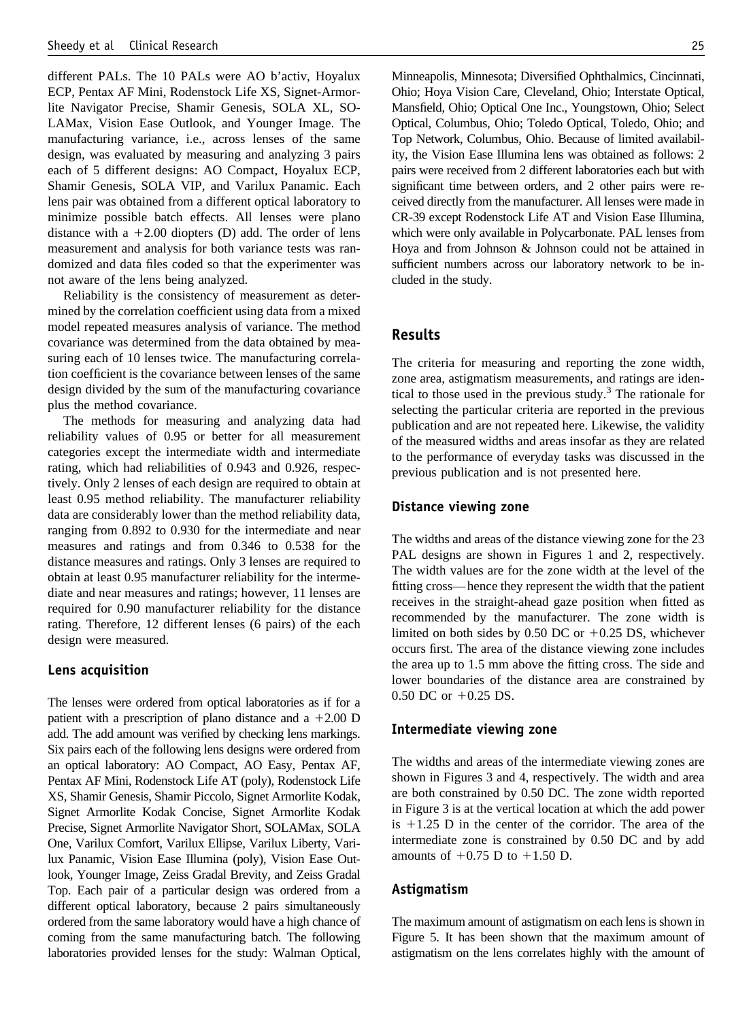different PALs. The 10 PALs were AO b'activ, Hoyalux ECP, Pentax AF Mini, Rodenstock Life XS, Signet-Armorlite Navigator Precise, Shamir Genesis, SOLA XL, SO-LAMax, Vision Ease Outlook, and Younger Image. The manufacturing variance, i.e., across lenses of the same design, was evaluated by measuring and analyzing 3 pairs each of 5 different designs: AO Compact, Hoyalux ECP, Shamir Genesis, SOLA VIP, and Varilux Panamic. Each lens pair was obtained from a different optical laboratory to minimize possible batch effects. All lenses were plano distance with a  $+2.00$  diopters (D) add. The order of lens measurement and analysis for both variance tests was randomized and data files coded so that the experimenter was not aware of the lens being analyzed.

Reliability is the consistency of measurement as determined by the correlation coefficient using data from a mixed model repeated measures analysis of variance. The method covariance was determined from the data obtained by measuring each of 10 lenses twice. The manufacturing correlation coefficient is the covariance between lenses of the same design divided by the sum of the manufacturing covariance plus the method covariance.

The methods for measuring and analyzing data had reliability values of 0.95 or better for all measurement categories except the intermediate width and intermediate rating, which had reliabilities of 0.943 and 0.926, respectively. Only 2 lenses of each design are required to obtain at least 0.95 method reliability. The manufacturer reliability data are considerably lower than the method reliability data, ranging from 0.892 to 0.930 for the intermediate and near measures and ratings and from 0.346 to 0.538 for the distance measures and ratings. Only 3 lenses are required to obtain at least 0.95 manufacturer reliability for the intermediate and near measures and ratings; however, 11 lenses are required for 0.90 manufacturer reliability for the distance rating. Therefore, 12 different lenses (6 pairs) of the each design were measured.

#### **Lens acquisition**

The lenses were ordered from optical laboratories as if for a patient with a prescription of plano distance and  $a + 2.00$  D add. The add amount was verified by checking lens markings. Six pairs each of the following lens designs were ordered from an optical laboratory: AO Compact, AO Easy, Pentax AF, Pentax AF Mini, Rodenstock Life AT (poly), Rodenstock Life XS, Shamir Genesis, Shamir Piccolo, Signet Armorlite Kodak, Signet Armorlite Kodak Concise, Signet Armorlite Kodak Precise, Signet Armorlite Navigator Short, SOLAMax, SOLA One, Varilux Comfort, Varilux Ellipse, Varilux Liberty, Varilux Panamic, Vision Ease Illumina (poly), Vision Ease Outlook, Younger Image, Zeiss Gradal Brevity, and Zeiss Gradal Top. Each pair of a particular design was ordered from a different optical laboratory, because 2 pairs simultaneously ordered from the same laboratory would have a high chance of coming from the same manufacturing batch. The following laboratories provided lenses for the study: Walman Optical,

Minneapolis, Minnesota; Diversified Ophthalmics, Cincinnati, Ohio; Hoya Vision Care, Cleveland, Ohio; Interstate Optical, Mansfield, Ohio; Optical One Inc., Youngstown, Ohio; Select Optical, Columbus, Ohio; Toledo Optical, Toledo, Ohio; and Top Network, Columbus, Ohio. Because of limited availability, the Vision Ease Illumina lens was obtained as follows: 2 pairs were received from 2 different laboratories each but with significant time between orders, and 2 other pairs were received directly from the manufacturer. All lenses were made in CR-39 except Rodenstock Life AT and Vision Ease Illumina, which were only available in Polycarbonate. PAL lenses from Hoya and from Johnson & Johnson could not be attained in sufficient numbers across our laboratory network to be included in the study.

# **Results**

The criteria for measuring and reporting the zone width, zone area, astigmatism measurements, and ratings are identical to those used in the previous study.<sup>3</sup> The rationale for selecting the particular criteria are reported in the previous publication and are not repeated here. Likewise, the validity of the measured widths and areas insofar as they are related to the performance of everyday tasks was discussed in the previous publication and is not presented here.

#### **Distance viewing zone**

The widths and areas of the distance viewing zone for the 23 PAL designs are shown in [Figures 1](#page-3-0) and [2,](#page-3-0) respectively. The width values are for the zone width at the level of the fitting cross— hence they represent the width that the patient receives in the straight-ahead gaze position when fitted as recommended by the manufacturer. The zone width is limited on both sides by  $0.50$  DC or  $+0.25$  DS, whichever occurs first. The area of the distance viewing zone includes the area up to 1.5 mm above the fitting cross. The side and lower boundaries of the distance area are constrained by  $0.50$  DC or  $+0.25$  DS.

#### **Intermediate viewing zone**

The widths and areas of the intermediate viewing zones are shown in [Figures 3](#page-4-0) and [4,](#page-4-0) respectively. The width and area are both constrained by 0.50 DC. The zone width reported in [Figure 3](#page-4-0) is at the vertical location at which the add power is  $+1.25$  D in the center of the corridor. The area of the intermediate zone is constrained by 0.50 DC and by add amounts of  $+0.75$  D to  $+1.50$  D.

# **Astigmatism**

The maximum amount of astigmatism on each lens is shown in [Figure 5.](#page-5-0) It has been shown that the maximum amount of astigmatism on the lens correlates highly with the amount of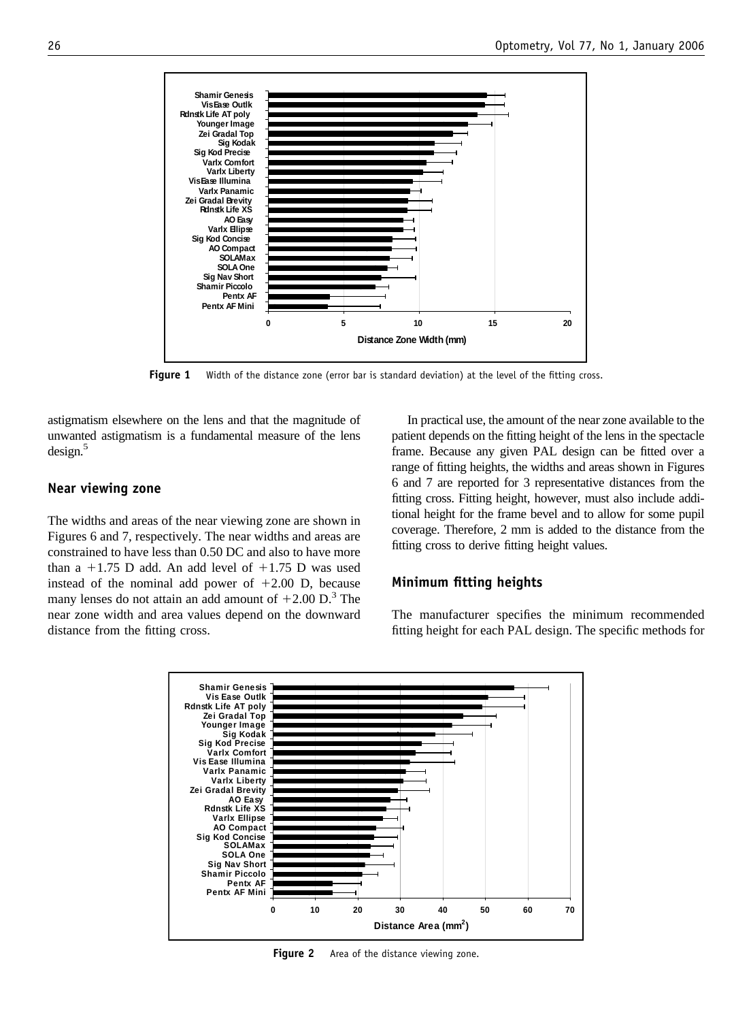<span id="page-3-0"></span>

**Figure 1** Width of the distance zone (error bar is standard deviation) at the level of the fitting cross.

astigmatism elsewhere on the lens and that the magnitude of unwanted astigmatism is a fundamental measure of the lens  $design.<sup>5</sup>$ 

#### **Near viewing zone**

The widths and areas of the near viewing zone are shown in [Figures 6](#page-6-0) and [7,](#page-7-0) respectively. The near widths and areas are constrained to have less than 0.50 DC and also to have more than a  $+1.75$  D add. An add level of  $+1.75$  D was used instead of the nominal add power of  $+2.00$  D, because many lenses do not attain an add amount of  $+2.00 \text{ D}$ .<sup>3</sup> The near zone width and area values depend on the downward distance from the fitting cross.

In practical use, the amount of the near zone available to the patient depends on the fitting height of the lens in the spectacle frame. Because any given PAL design can be fitted over a range of fitting heights, the widths and areas shown in [Figures](#page-6-0) [6](#page-6-0) and [7](#page-7-0) are reported for 3 representative distances from the fitting cross. Fitting height, however, must also include additional height for the frame bevel and to allow for some pupil coverage. Therefore, 2 mm is added to the distance from the fitting cross to derive fitting height values.

# **Minimum fitting heights**

The manufacturer specifies the minimum recommended fitting height for each PAL design. The specific methods for



**Figure 2** Area of the distance viewing zone.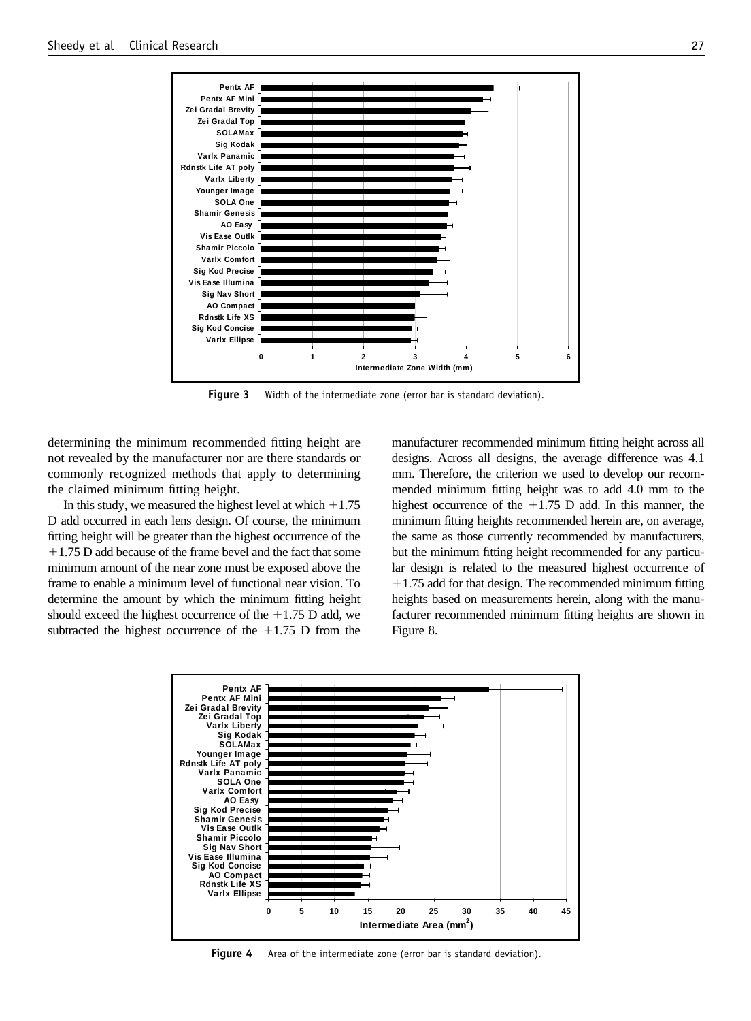<span id="page-4-0"></span>

**Figure 3** Width of the intermediate zone (error bar is standard deviation).

determining the minimum recommended fitting height are not revealed by the manufacturer nor are there standards or commonly recognized methods that apply to determining the claimed minimum fitting height.

In this study, we measured the highest level at which  $+1.75$ D add occurred in each lens design. Of course, the minimum fitting height will be greater than the highest occurrence of the 1.75 D add because of the frame bevel and the fact that some minimum amount of the near zone must be exposed above the frame to enable a minimum level of functional near vision. To determine the amount by which the minimum fitting height should exceed the highest occurrence of the  $+1.75$  D add, we subtracted the highest occurrence of the  $+1.75$  D from the

manufacturer recommended minimum fitting height across all designs. Across all designs, the average difference was 4.1 mm. Therefore, the criterion we used to develop our recommended minimum fitting height was to add 4.0 mm to the highest occurrence of the  $+1.75$  D add. In this manner, the minimum fitting heights recommended herein are, on average, the same as those currently recommended by manufacturers, but the minimum fitting height recommended for any particular design is related to the measured highest occurrence of  $+1.75$  add for that design. The recommended minimum fitting heights based on measurements herein, along with the manufacturer recommended minimum fitting heights are shown in [Figure 8.](#page-7-0)



**Figure 4** Area of the intermediate zone (error bar is standard deviation).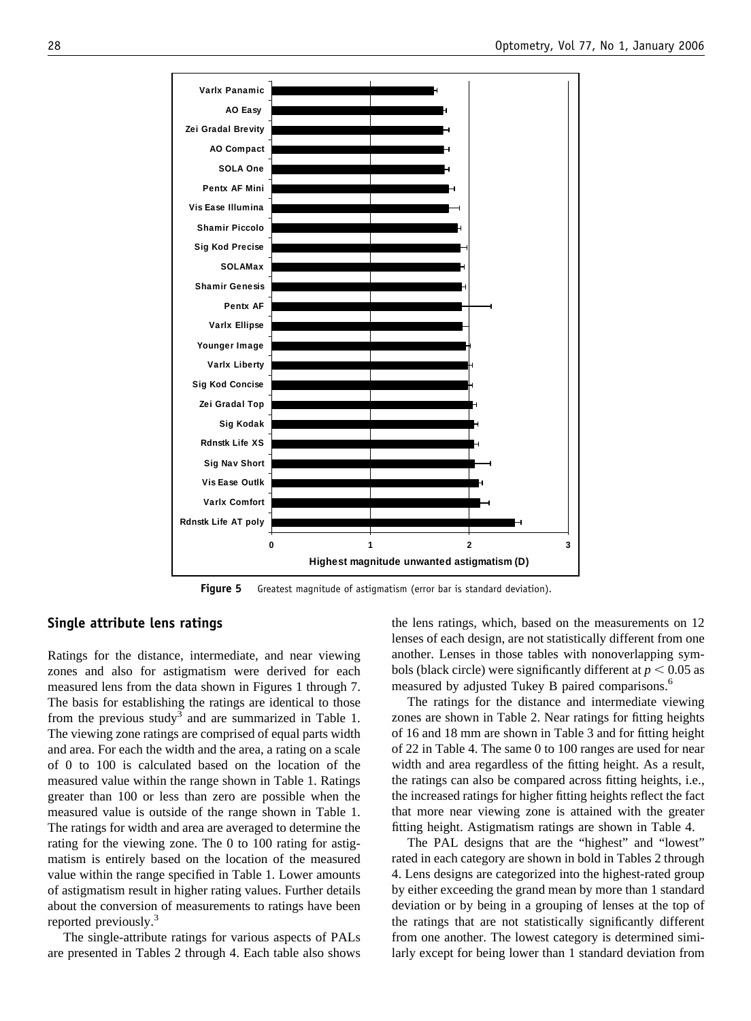<span id="page-5-0"></span>

Figure 5 Greatest magnitude of astigmatism (error bar is standard deviation).

# **Single attribute lens ratings**

Ratings for the distance, intermediate, and near viewing zones and also for astigmatism were derived for each measured lens from the data shown in [Figures 1](#page-3-0) through [7.](#page-7-0) The basis for establishing the ratings are identical to those from the previous study<sup>3</sup> and are summarized in Table 1. The viewing zone ratings are comprised of equal parts width and area. For each the width and the area, a rating on a scale of 0 to 100 is calculated based on the location of the measured value within the range shown in Table 1. Ratings greater than 100 or less than zero are possible when the measured value is outside of the range shown in Table 1. The ratings for width and area are averaged to determine the rating for the viewing zone. The 0 to 100 rating for astigmatism is entirely based on the location of the measured value within the range specified in Table 1. Lower amounts of astigmatism result in higher rating values. Further details about the conversion of measurements to ratings have been reported previously.<sup>3</sup>

The single-attribute ratings for various aspects of PALs are presented in Tables 2 through 4. Each table also shows

the lens ratings, which, based on the measurements on 12 lenses of each design, are not statistically different from one another. Lenses in those tables with nonoverlapping symbols (black circle) were significantly different at  $p < 0.05$  as measured by adjusted Tukey B paired comparisons.<sup>6</sup>

The ratings for the distance and intermediate viewing zones are shown in Table 2. Near ratings for fitting heights of 16 and 18 mm are shown in Table 3 and for fitting height of 22 in Table 4. The same 0 to 100 ranges are used for near width and area regardless of the fitting height. As a result, the ratings can also be compared across fitting heights, i.e., the increased ratings for higher fitting heights reflect the fact that more near viewing zone is attained with the greater fitting height. Astigmatism ratings are shown in Table 4.

The PAL designs that are the "highest" and "lowest" rated in each category are shown in bold in Tables 2 through 4. Lens designs are categorized into the highest-rated group by either exceeding the grand mean by more than 1 standard deviation or by being in a grouping of lenses at the top of the ratings that are not statistically significantly different from one another. The lowest category is determined similarly except for being lower than 1 standard deviation from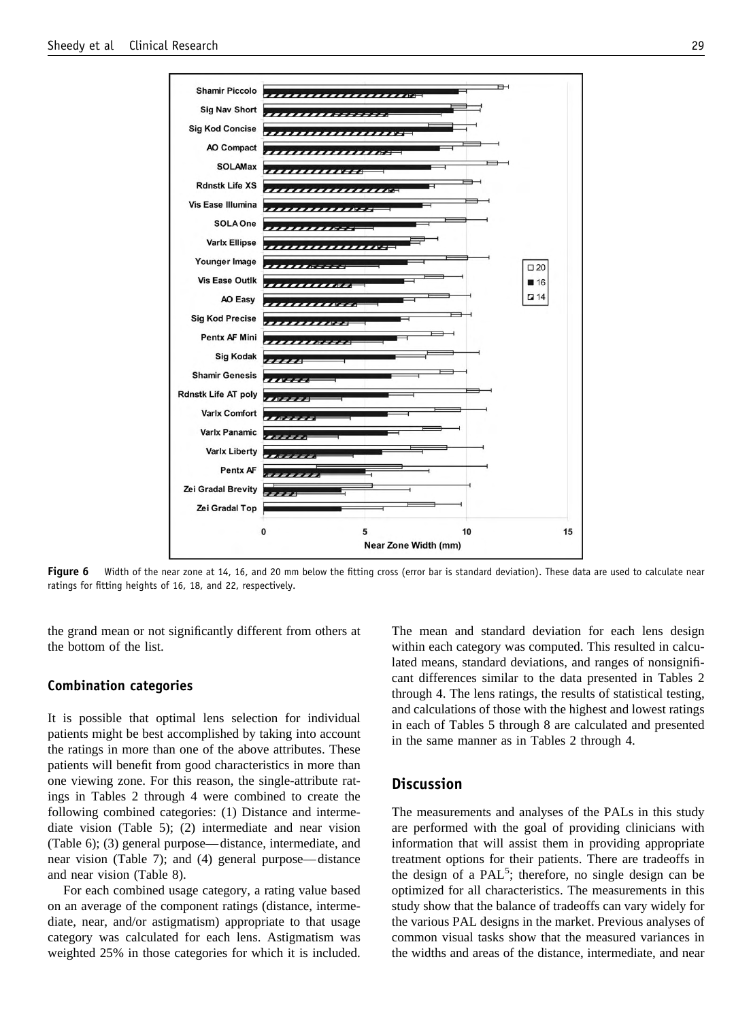<span id="page-6-0"></span>

Figure 6 Width of the near zone at 14, 16, and 20 mm below the fitting cross (error bar is standard deviation). These data are used to calculate near ratings for fitting heights of 16, 18, and 22, respectively.

the grand mean or not significantly different from others at the bottom of the list.

#### **Combination categories**

It is possible that optimal lens selection for individual patients might be best accomplished by taking into account the ratings in more than one of the above attributes. These patients will benefit from good characteristics in more than one viewing zone. For this reason, the single-attribute ratings in Tables 2 through 4 were combined to create the following combined categories: (1) Distance and intermediate vision (Table 5); (2) intermediate and near vision (Table 6); (3) general purpose— distance, intermediate, and near vision (Table 7); and (4) general purpose— distance and near vision (Table 8).

For each combined usage category, a rating value based on an average of the component ratings (distance, intermediate, near, and/or astigmatism) appropriate to that usage category was calculated for each lens. Astigmatism was weighted 25% in those categories for which it is included.

The mean and standard deviation for each lens design within each category was computed. This resulted in calculated means, standard deviations, and ranges of nonsignificant differences similar to the data presented in Tables 2 through 4. The lens ratings, the results of statistical testing, and calculations of those with the highest and lowest ratings in each of Tables 5 through 8 are calculated and presented in the same manner as in Tables 2 through 4.

#### **Discussion**

The measurements and analyses of the PALs in this study are performed with the goal of providing clinicians with information that will assist them in providing appropriate treatment options for their patients. There are tradeoffs in the design of a  $PAL<sup>5</sup>$ ; therefore, no single design can be optimized for all characteristics. The measurements in this study show that the balance of tradeoffs can vary widely for the various PAL designs in the market. Previous analyses of common visual tasks show that the measured variances in the widths and areas of the distance, intermediate, and near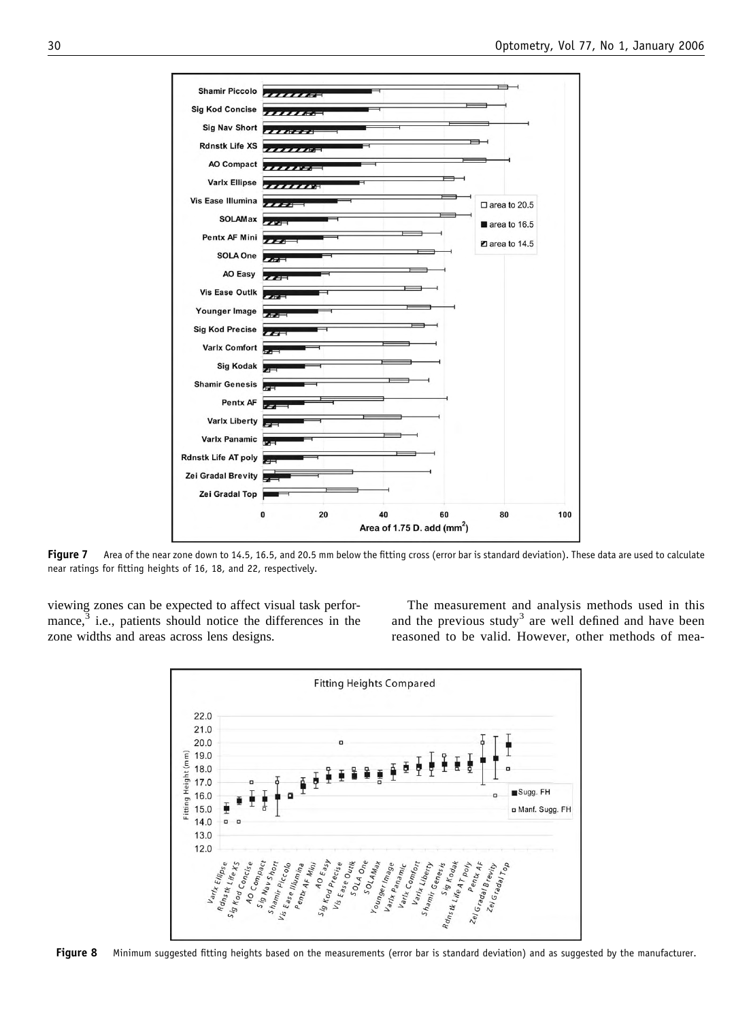<span id="page-7-0"></span>

Figure 7 Area of the near zone down to 14.5, 16.5, and 20.5 mm below the fitting cross (error bar is standard deviation). These data are used to calculate near ratings for fitting heights of 16, 18, and 22, respectively.

viewing zones can be expected to affect visual task performance,<sup>3</sup> i.e., patients should notice the differences in the zone widths and areas across lens designs.

The measurement and analysis methods used in this and the previous study<sup>3</sup> are well defined and have been reasoned to be valid. However, other methods of mea-



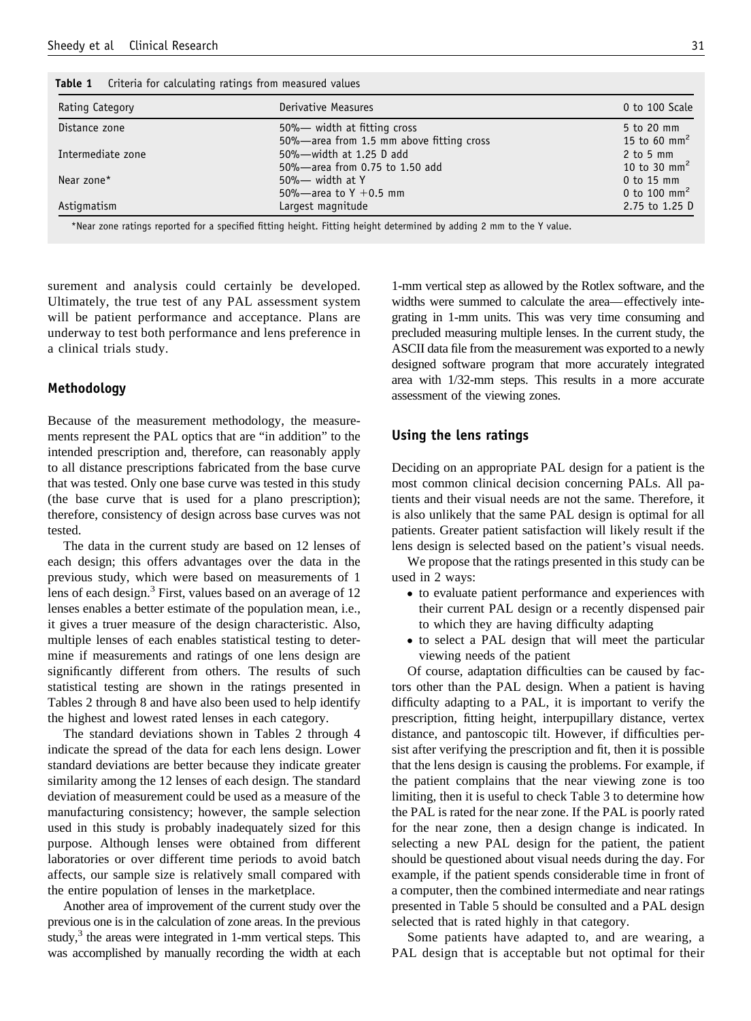| Rating Category   | Derivative Measures                      | 0 to 100 Scale           |
|-------------------|------------------------------------------|--------------------------|
| Distance zone     | 50%— width at fitting cross              | 5 to 20 mm               |
|                   | 50%-area from 1.5 mm above fitting cross | 15 to 60 mm <sup>2</sup> |
| Intermediate zone | 50%-width at 1.25 D add                  | $2$ to 5 mm              |
|                   | 50%-area from 0.75 to 1.50 add           | 10 to 30 mm <sup>2</sup> |
| Near zone*        | $50\%$ width at Y                        | $0$ to 15 mm             |
|                   | 50%—area to Y +0.5 mm                    | 0 to 100 mm <sup>2</sup> |
| Astigmatism       | Largest magnitude                        | 2.75 to 1.25 D           |

**Table 1** Criteria for calculating ratings from measured values

\*Near zone ratings reported for a specified fitting height. Fitting height determined by adding 2 mm to the Y value.

surement and analysis could certainly be developed. Ultimately, the true test of any PAL assessment system will be patient performance and acceptance. Plans are underway to test both performance and lens preference in a clinical trials study.

#### **Methodology**

Because of the measurement methodology, the measurements represent the PAL optics that are "in addition" to the intended prescription and, therefore, can reasonably apply to all distance prescriptions fabricated from the base curve that was tested. Only one base curve was tested in this study (the base curve that is used for a plano prescription); therefore, consistency of design across base curves was not tested.

The data in the current study are based on 12 lenses of each design; this offers advantages over the data in the previous study, which were based on measurements of 1 lens of each design.<sup>3</sup> First, values based on an average of 12 lenses enables a better estimate of the population mean, i.e., it gives a truer measure of the design characteristic. Also, multiple lenses of each enables statistical testing to determine if measurements and ratings of one lens design are significantly different from others. The results of such statistical testing are shown in the ratings presented in Tables 2 through 8 and have also been used to help identify the highest and lowest rated lenses in each category.

The standard deviations shown in Tables 2 through 4 indicate the spread of the data for each lens design. Lower standard deviations are better because they indicate greater similarity among the 12 lenses of each design. The standard deviation of measurement could be used as a measure of the manufacturing consistency; however, the sample selection used in this study is probably inadequately sized for this purpose. Although lenses were obtained from different laboratories or over different time periods to avoid batch affects, our sample size is relatively small compared with the entire population of lenses in the marketplace.

Another area of improvement of the current study over the previous one is in the calculation of zone areas. In the previous study, $3$  the areas were integrated in 1-mm vertical steps. This was accomplished by manually recording the width at each

1-mm vertical step as allowed by the Rotlex software, and the widths were summed to calculate the area—effectively integrating in 1-mm units. This was very time consuming and precluded measuring multiple lenses. In the current study, the ASCII data file from the measurement was exported to a newly designed software program that more accurately integrated area with 1/32-mm steps. This results in a more accurate assessment of the viewing zones.

#### **Using the lens ratings**

Deciding on an appropriate PAL design for a patient is the most common clinical decision concerning PALs. All patients and their visual needs are not the same. Therefore, it is also unlikely that the same PAL design is optimal for all patients. Greater patient satisfaction will likely result if the lens design is selected based on the patient's visual needs.

We propose that the ratings presented in this study can be used in 2 ways:

- to evaluate patient performance and experiences with their current PAL design or a recently dispensed pair to which they are having difficulty adapting
- to select a PAL design that will meet the particular viewing needs of the patient

Of course, adaptation difficulties can be caused by factors other than the PAL design. When a patient is having difficulty adapting to a PAL, it is important to verify the prescription, fitting height, interpupillary distance, vertex distance, and pantoscopic tilt. However, if difficulties persist after verifying the prescription and fit, then it is possible that the lens design is causing the problems. For example, if the patient complains that the near viewing zone is too limiting, then it is useful to check Table 3 to determine how the PAL is rated for the near zone. If the PAL is poorly rated for the near zone, then a design change is indicated. In selecting a new PAL design for the patient, the patient should be questioned about visual needs during the day. For example, if the patient spends considerable time in front of a computer, then the combined intermediate and near ratings presented in Table 5 should be consulted and a PAL design selected that is rated highly in that category.

Some patients have adapted to, and are wearing, a PAL design that is acceptable but not optimal for their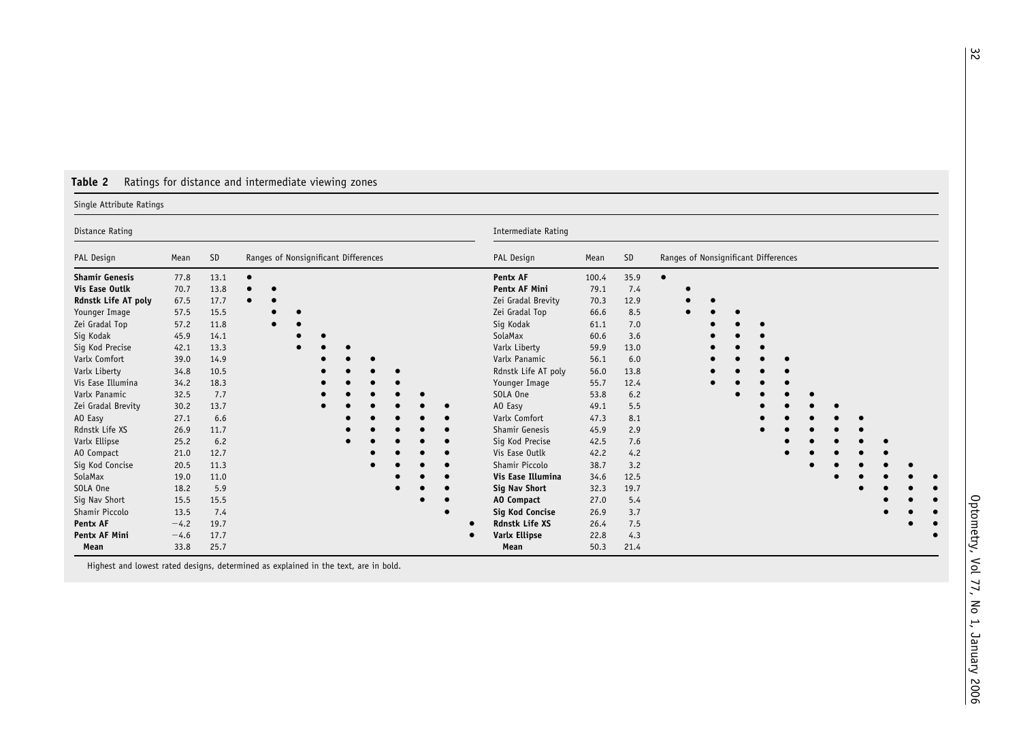| Single Attribute Ratings   |        |      |                                      |                        |       |      |                                      |  |  |  |  |  |  |
|----------------------------|--------|------|--------------------------------------|------------------------|-------|------|--------------------------------------|--|--|--|--|--|--|
| Distance Rating            |        |      |                                      | Intermediate Rating    |       |      |                                      |  |  |  |  |  |  |
| PAL Design                 | Mean   | SD   | Ranges of Nonsignificant Differences | PAL Design             | Mean  | SD   | Ranges of Nonsignificant Differences |  |  |  |  |  |  |
| <b>Shamir Genesis</b>      | 77.8   | 13.1 | $\bullet$                            | <b>Pentx AF</b>        | 100.4 | 35.9 | $\bullet$                            |  |  |  |  |  |  |
| <b>Vis Ease Outlk</b>      | 70.7   | 13.8 | $\bullet$                            | <b>Pentx AF Mini</b>   | 79.1  | 7.4  |                                      |  |  |  |  |  |  |
| <b>Rdnstk Life AT poly</b> | 67.5   | 17.7 |                                      | Zei Gradal Brevity     | 70.3  | 12.9 |                                      |  |  |  |  |  |  |
| Younger Image              | 57.5   | 15.5 |                                      | Zei Gradal Top         | 66.6  | 8.5  |                                      |  |  |  |  |  |  |
| Zei Gradal Top             | 57.2   | 11.8 |                                      | Sig Kodak              | 61.1  | 7.0  |                                      |  |  |  |  |  |  |
| Sig Kodak                  | 45.9   | 14.1 |                                      | SolaMax                | 60.6  | 3.6  |                                      |  |  |  |  |  |  |
| Sig Kod Precise            | 42.1   | 13.3 |                                      | Varlx Liberty          | 59.9  | 13.0 |                                      |  |  |  |  |  |  |
| Varlx Comfort              | 39.0   | 14.9 |                                      | Varlx Panamic          | 56.1  | 6.0  |                                      |  |  |  |  |  |  |
| Varlx Liberty              | 34.8   | 10.5 |                                      | Rdnstk Life AT poly    | 56.0  | 13.8 |                                      |  |  |  |  |  |  |
| Vis Ease Illumina          | 34.2   | 18.3 |                                      | Younger Image          | 55.7  | 12.4 |                                      |  |  |  |  |  |  |
| Varlx Panamic              | 32.5   | 7.7  |                                      | SOLA One               | 53.8  | 6.2  |                                      |  |  |  |  |  |  |
| Zei Gradal Brevity         | 30.2   | 13.7 |                                      | AO Easy                | 49.1  | 5.5  |                                      |  |  |  |  |  |  |
| AO Easy                    | 27.1   | 6.6  |                                      | Varlx Comfort          | 47.3  | 8.1  |                                      |  |  |  |  |  |  |
| Rdnstk Life XS             | 26.9   | 11.7 |                                      | Shamir Genesis         | 45.9  | 2.9  |                                      |  |  |  |  |  |  |
| Varlx Ellipse              | 25.2   | 6.2  |                                      | Sig Kod Precise        | 42.5  | 7.6  |                                      |  |  |  |  |  |  |
| AO Compact                 | 21.0   | 12.7 |                                      | Vis Ease Outlk         | 42.2  | 4.2  |                                      |  |  |  |  |  |  |
| Sig Kod Concise            | 20.5   | 11.3 |                                      | Shamir Piccolo         | 38.7  | 3.2  |                                      |  |  |  |  |  |  |
| SolaMax                    | 19.0   | 11.0 |                                      | Vis Ease Illumina      | 34.6  | 12.5 |                                      |  |  |  |  |  |  |
| SOLA One                   | 18.2   | 5.9  |                                      | Sig Nav Short          | 32.3  | 19.7 |                                      |  |  |  |  |  |  |
| Sig Nav Short              | 15.5   | 15.5 |                                      | <b>AO Compact</b>      | 27.0  | 5.4  |                                      |  |  |  |  |  |  |
| Shamir Piccolo             | 13.5   | 7.4  |                                      | <b>Sig Kod Concise</b> | 26.9  | 3.7  |                                      |  |  |  |  |  |  |
| <b>Pentx AF</b>            | $-4.2$ | 19.7 | $\epsilon$                           | <b>Rdnstk Life XS</b>  | 26.4  | 7.5  |                                      |  |  |  |  |  |  |
| <b>Pentx AF Mini</b>       | $-4.6$ | 17.7 | $\bullet$                            | Varlx Ellipse          | 22.8  | 4.3  |                                      |  |  |  |  |  |  |
| Mean                       | 33.8   | 25.7 |                                      | Mean                   | 50.3  | 21.4 |                                      |  |  |  |  |  |  |

#### **Table 2** Ratings for distance and intermediate viewing zones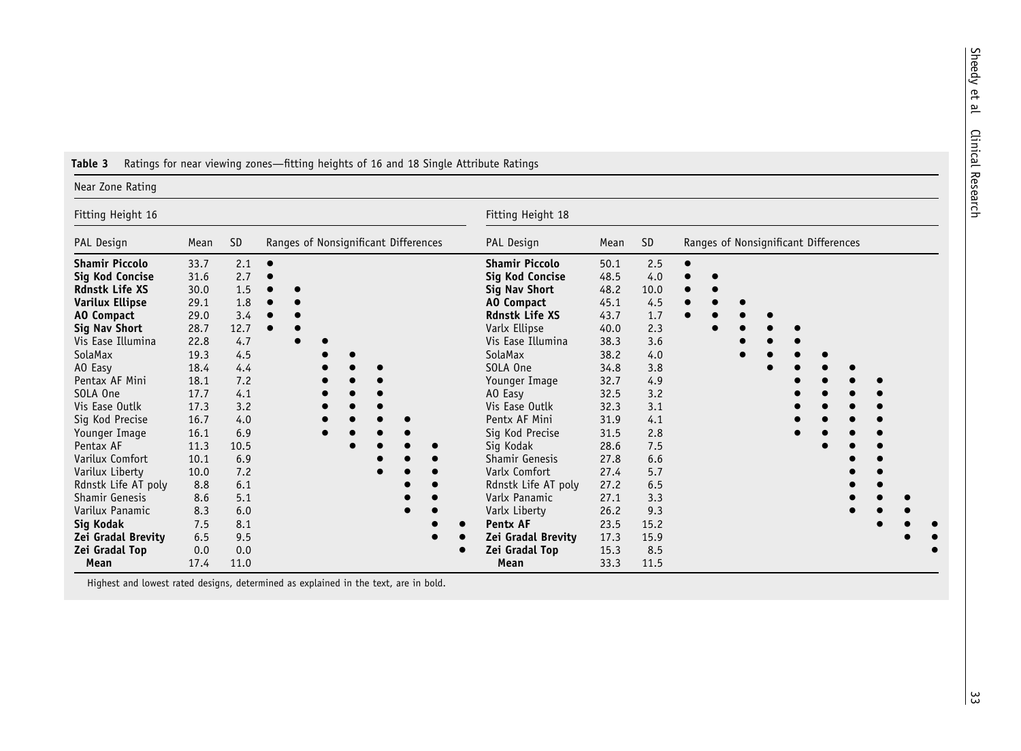| Near Zone Rating       |      |           |  |                                      |            |      |    |                                      |  |  |  |  |  |  |
|------------------------|------|-----------|--|--------------------------------------|------------|------|----|--------------------------------------|--|--|--|--|--|--|
| Fitting Height 16      |      |           |  | Fitting Height 18                    |            |      |    |                                      |  |  |  |  |  |  |
| PAL Design             | Mean | <b>SD</b> |  | Ranges of Nonsignificant Differences | PAL Design | Mean | SD | Ranges of Nonsignificant Differences |  |  |  |  |  |  |
| <b>Shamir Piccolo</b>  | 33.7 | 2.1       |  | <b>Shamir Piccolo</b>                | 50.1       | 2.5  |    |                                      |  |  |  |  |  |  |
| <b>Sig Kod Concise</b> | 31.6 | 2.7       |  | <b>Sig Kod Concise</b>               | 48.5       | 4.0  |    |                                      |  |  |  |  |  |  |
| <b>Rdnstk Life XS</b>  | 30.0 | 1.5       |  | <b>Sig Nav Short</b>                 | 48.2       | 10.0 |    |                                      |  |  |  |  |  |  |
| <b>Varilux Ellipse</b> | 29.1 | 1.8       |  | AO Compact                           | 45.1       | 4.5  |    |                                      |  |  |  |  |  |  |
| AO Compact             | 29.0 | 3.4       |  | <b>Rdnstk Life XS</b>                | 43.7       | 1.7  |    |                                      |  |  |  |  |  |  |
| Sig Nav Short          | 28.7 | 12.7      |  | Varlx Ellipse                        | 40.0       | 2.3  |    |                                      |  |  |  |  |  |  |
| Vis Ease Illumina      | 22.8 | 4.7       |  | Vis Ease Illumina                    | 38.3       | 3.6  |    |                                      |  |  |  |  |  |  |
| SolaMax                | 19.3 | 4.5       |  | SolaMax                              | 38.2       | 4.0  |    |                                      |  |  |  |  |  |  |
| AO Easy                | 18.4 | 4.4       |  | SOLA One                             | 34.8       | 3.8  |    |                                      |  |  |  |  |  |  |
| Pentax AF Mini         | 18.1 | 7.2       |  | Younger Image                        | 32.7       | 4.9  |    |                                      |  |  |  |  |  |  |
| SOLA One               | 17.7 | 4.1       |  | AO Easy                              | 32.5       | 3.2  |    |                                      |  |  |  |  |  |  |
| Vis Ease Outlk         | 17.3 | 3.2       |  | Vis Ease Outlk                       | 32.3       | 3.1  |    |                                      |  |  |  |  |  |  |
| Sig Kod Precise        | 16.7 | 4.0       |  | Pentx AF Mini                        | 31.9       | 4.1  |    |                                      |  |  |  |  |  |  |
| Younger Image          | 16.1 | 6.9       |  | Sig Kod Precise                      | 31.5       | 2.8  |    |                                      |  |  |  |  |  |  |
| Pentax AF              | 11.3 | 10.5      |  | Sig Kodak                            | 28.6       | 7.5  |    |                                      |  |  |  |  |  |  |
| Varilux Comfort        | 10.1 | 6.9       |  | Shamir Genesis                       | 27.8       | 6.6  |    |                                      |  |  |  |  |  |  |
| Varilux Liberty        | 10.0 | 7.2       |  | Varlx Comfort                        | 27.4       | 5.7  |    |                                      |  |  |  |  |  |  |
| Rdnstk Life AT poly    | 8.8  | 6.1       |  | Rdnstk Life AT poly                  | 27.2       | 6.5  |    |                                      |  |  |  |  |  |  |
| Shamir Genesis         | 8.6  | 5.1       |  | Varlx Panamic                        | 27.1       | 3.3  |    |                                      |  |  |  |  |  |  |
| Varilux Panamic        | 8.3  | 6.0       |  | Varlx Liberty                        | 26.2       | 9.3  |    |                                      |  |  |  |  |  |  |
| <b>Sig Kodak</b>       | 7.5  | 8.1       |  | <b>Pentx AF</b>                      | 23.5       | 15.2 |    |                                      |  |  |  |  |  |  |
| Zei Gradal Brevity     | 6.5  | 9.5       |  | Zei Gradal Brevity                   | 17.3       | 15.9 |    |                                      |  |  |  |  |  |  |
| Zei Gradal Top         | 0.0  | 0.0       |  | Zei Gradal Top                       | 15.3       | 8.5  |    |                                      |  |  |  |  |  |  |
| Mean                   | 17.4 | 11.0      |  | Mean                                 | 33.3       | 11.5 |    |                                      |  |  |  |  |  |  |

**Table 3** Ratings for near viewing zones—fitting heights of 16 and 18 Single Attribute Ratings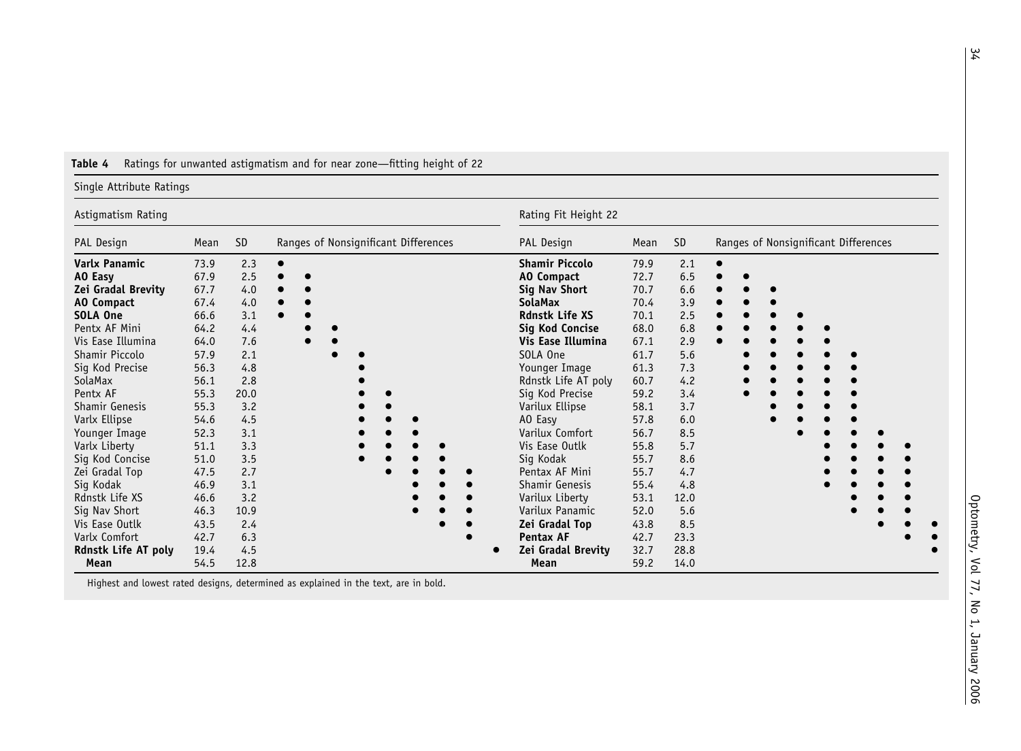| Single Attribute Ratings |      |      |                                      |                        |      |           |                                      |  |  |  |  |  |  |  |
|--------------------------|------|------|--------------------------------------|------------------------|------|-----------|--------------------------------------|--|--|--|--|--|--|--|
| Astigmatism Rating       |      |      |                                      | Rating Fit Height 22   |      |           |                                      |  |  |  |  |  |  |  |
| PAL Design               | Mean | SD   | Ranges of Nonsignificant Differences | PAL Design             | Mean | <b>SD</b> | Ranges of Nonsignificant Differences |  |  |  |  |  |  |  |
| Varlx Panamic            | 73.9 | 2.3  |                                      | <b>Shamir Piccolo</b>  | 79.9 | 2.1       | c                                    |  |  |  |  |  |  |  |
| AO Easy                  | 67.9 | 2.5  |                                      | AO Compact             | 72.7 | 6.5       |                                      |  |  |  |  |  |  |  |
| Zei Gradal Brevity       | 67.7 | 4.0  |                                      | Sig Nav Short          | 70.7 | 6.6       |                                      |  |  |  |  |  |  |  |
| <b>AO Compact</b>        | 67.4 | 4.0  |                                      | <b>SolaMax</b>         | 70.4 | 3.9       |                                      |  |  |  |  |  |  |  |
| <b>SOLA One</b>          | 66.6 | 3.1  |                                      | <b>Rdnstk Life XS</b>  | 70.1 | 2.5       |                                      |  |  |  |  |  |  |  |
| Pentx AF Mini            | 64.2 | 4.4  |                                      | <b>Sig Kod Concise</b> | 68.0 | 6.8       |                                      |  |  |  |  |  |  |  |
| Vis Ease Illumina        | 64.0 | 7.6  |                                      | Vis Ease Illumina      | 67.1 | 2.9       |                                      |  |  |  |  |  |  |  |
| Shamir Piccolo           | 57.9 | 2.1  |                                      | SOLA One               | 61.7 | 5.6       |                                      |  |  |  |  |  |  |  |
| Sig Kod Precise          | 56.3 | 4.8  |                                      | Younger Image          | 61.3 | 7.3       |                                      |  |  |  |  |  |  |  |
| SolaMax                  | 56.1 | 2.8  |                                      | Rdnstk Life AT poly    | 60.7 | 4.2       |                                      |  |  |  |  |  |  |  |
| Pentx AF                 | 55.3 | 20.0 |                                      | Sig Kod Precise        | 59.2 | 3.4       |                                      |  |  |  |  |  |  |  |
| Shamir Genesis           | 55.3 | 3.2  |                                      | Varilux Ellipse        | 58.1 | 3.7       |                                      |  |  |  |  |  |  |  |
| Varlx Ellipse            | 54.6 | 4.5  |                                      | AO Easy                | 57.8 | 6.0       |                                      |  |  |  |  |  |  |  |
| Younger Image            | 52.3 | 3.1  |                                      | Varilux Comfort        | 56.7 | 8.5       |                                      |  |  |  |  |  |  |  |
| Varlx Liberty            | 51.1 | 3.3  |                                      | Vis Ease Outlk         | 55.8 | 5.7       |                                      |  |  |  |  |  |  |  |
| Sig Kod Concise          | 51.0 | 3.5  |                                      | Sig Kodak              | 55.7 | 8.6       |                                      |  |  |  |  |  |  |  |
| Zei Gradal Top           | 47.5 | 2.7  |                                      | Pentax AF Mini         | 55.7 | 4.7       |                                      |  |  |  |  |  |  |  |
| Sig Kodak                | 46.9 | 3.1  |                                      | Shamir Genesis         | 55.4 | 4.8       |                                      |  |  |  |  |  |  |  |
| Rdnstk Life XS           | 46.6 | 3.2  |                                      | Varilux Liberty        | 53.1 | 12.0      |                                      |  |  |  |  |  |  |  |
| Sig Nav Short            | 46.3 | 10.9 |                                      | Varilux Panamic        | 52.0 | 5.6       |                                      |  |  |  |  |  |  |  |
| Vis Ease Outlk           | 43.5 | 2.4  |                                      | Zei Gradal Top         | 43.8 | 8.5       |                                      |  |  |  |  |  |  |  |
| Varlx Comfort            | 42.7 | 6.3  |                                      | <b>Pentax AF</b>       | 42.7 | 23.3      |                                      |  |  |  |  |  |  |  |
| Rdnstk Life AT poly      | 19.4 | 4.5  |                                      | Zei Gradal Brevity     | 32.7 | 28.8      |                                      |  |  |  |  |  |  |  |
| Mean                     | 54.5 | 12.8 |                                      | Mean                   | 59.2 | 14.0      |                                      |  |  |  |  |  |  |  |

#### **Table 4**Ratings for unwanted astigmatism and for near zone—fitting height of 22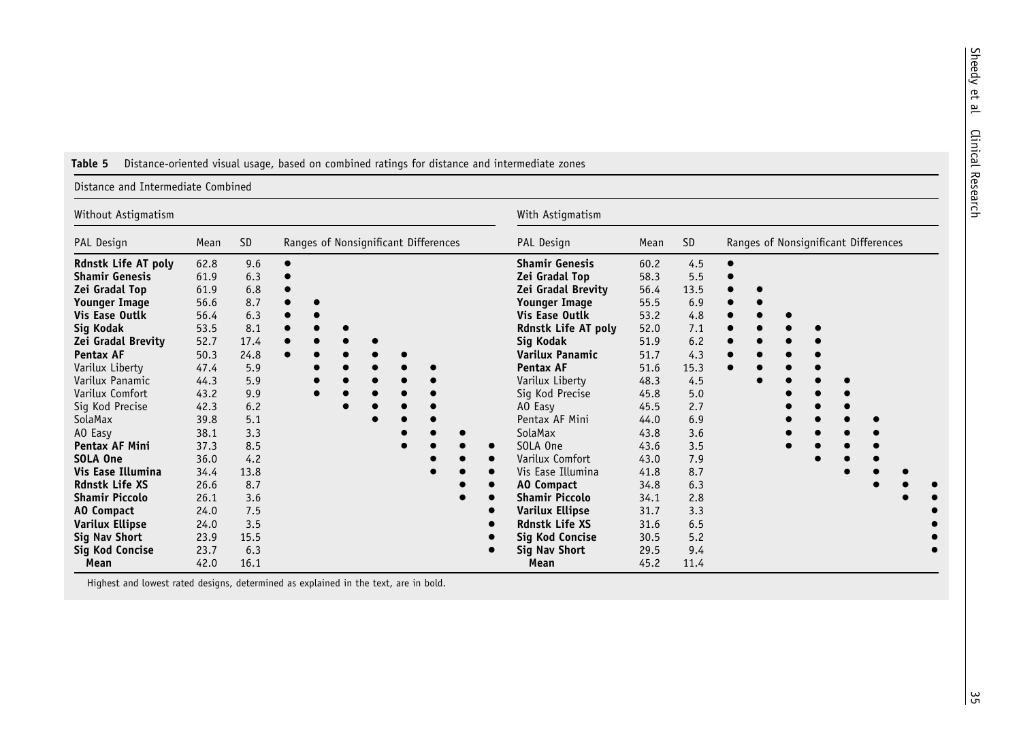**Table 5**Distance-oriented visual usage, based on combined ratings for distance and intermediate zones

Distance and Intermediate Combined

| Without Astigmatism    |      |           |                                      |  |  |            |      |    | With Astigmatism                     |                            |      |      |  |           |  |  |  |  |  |  |
|------------------------|------|-----------|--------------------------------------|--|--|------------|------|----|--------------------------------------|----------------------------|------|------|--|-----------|--|--|--|--|--|--|
| PAL Design             | Mean | <b>SD</b> | Ranges of Nonsignificant Differences |  |  | PAL Design | Mean | SD | Ranges of Nonsignificant Differences |                            |      |      |  |           |  |  |  |  |  |  |
| Rdnstk Life AT poly    | 62.8 | 9.6       |                                      |  |  |            |      |    |                                      | <b>Shamir Genesis</b>      | 60.2 | 4.5  |  |           |  |  |  |  |  |  |
| <b>Shamir Genesis</b>  | 61.9 | 6.3       |                                      |  |  |            |      |    |                                      | Zei Gradal Top             | 58.3 | 5.5  |  |           |  |  |  |  |  |  |
| Zei Gradal Top         | 61.9 | 6.8       |                                      |  |  |            |      |    |                                      | Zei Gradal Brevity         | 56.4 | 13.5 |  | $\bullet$ |  |  |  |  |  |  |
| Younger Image          | 56.6 | 8.7       |                                      |  |  |            |      |    |                                      | Younger Image              | 55.5 | 6.9  |  |           |  |  |  |  |  |  |
| Vis Ease Outlk         | 56.4 | 6.3       |                                      |  |  |            |      |    |                                      | Vis Ease Outlk             | 53.2 | 4.8  |  |           |  |  |  |  |  |  |
| <b>Sig Kodak</b>       | 53.5 | 8.1       |                                      |  |  |            |      |    |                                      | <b>Rdnstk Life AT poly</b> | 52.0 | 7.1  |  |           |  |  |  |  |  |  |
| Zei Gradal Brevity     | 52.7 | 17.4      |                                      |  |  |            |      |    |                                      | Sig Kodak                  | 51.9 | 6.2  |  |           |  |  |  |  |  |  |
| <b>Pentax AF</b>       | 50.3 | 24.8      | $\bullet$                            |  |  |            |      |    |                                      | Varilux Panamic            | 51.7 | 4.3  |  |           |  |  |  |  |  |  |
| Varilux Liberty        | 47.4 | 5.9       |                                      |  |  |            |      |    |                                      | <b>Pentax AF</b>           | 51.6 | 15.3 |  |           |  |  |  |  |  |  |
| Varilux Panamic        | 44.3 | 5.9       |                                      |  |  |            |      |    |                                      | Varilux Liberty            | 48.3 | 4.5  |  |           |  |  |  |  |  |  |
| Varilux Comfort        | 43.2 | 9.9       |                                      |  |  |            |      |    |                                      | Sig Kod Precise            | 45.8 | 5.0  |  |           |  |  |  |  |  |  |
| Sig Kod Precise        | 42.3 | 6.2       |                                      |  |  |            |      |    |                                      | AO Easy                    | 45.5 | 2.7  |  |           |  |  |  |  |  |  |
| SolaMax                | 39.8 | 5.1       |                                      |  |  |            |      |    |                                      | Pentax AF Mini             | 44.0 | 6.9  |  |           |  |  |  |  |  |  |
| AO Easy                | 38.1 | 3.3       |                                      |  |  |            |      |    |                                      | <b>SolaMax</b>             | 43.8 | 3.6  |  |           |  |  |  |  |  |  |
| <b>Pentax AF Mini</b>  | 37.3 | 8.5       |                                      |  |  |            |      |    |                                      | SOLA One                   | 43.6 | 3.5  |  |           |  |  |  |  |  |  |
| SOLA One               | 36.0 | 4.2       |                                      |  |  |            |      |    |                                      | Varilux Comfort            | 43.0 | 7.9  |  |           |  |  |  |  |  |  |
| Vis Ease Illumina      | 34.4 | 13.8      |                                      |  |  |            |      |    |                                      | Vis Ease Illumina          | 41.8 | 8.7  |  |           |  |  |  |  |  |  |
| <b>Rdnstk Life XS</b>  | 26.6 | 8.7       |                                      |  |  |            |      |    |                                      | AO Compact                 | 34.8 | 6.3  |  |           |  |  |  |  |  |  |
| <b>Shamir Piccolo</b>  | 26.1 | 3.6       |                                      |  |  |            |      |    |                                      | <b>Shamir Piccolo</b>      | 34.1 | 2.8  |  |           |  |  |  |  |  |  |
| AO Compact             | 24.0 | 7.5       |                                      |  |  |            |      |    |                                      | Varilux Ellipse            | 31.7 | 3.3  |  |           |  |  |  |  |  |  |
| Varilux Ellipse        | 24.0 | 3.5       |                                      |  |  |            |      |    |                                      | <b>Rdnstk Life XS</b>      | 31.6 | 6.5  |  |           |  |  |  |  |  |  |
| Sig Nav Short          | 23.9 | 15.5      |                                      |  |  |            |      |    |                                      | <b>Sig Kod Concise</b>     | 30.5 | 5.2  |  |           |  |  |  |  |  |  |
| <b>Sig Kod Concise</b> | 23.7 | 6.3       |                                      |  |  |            |      |    |                                      | <b>Sig Nav Short</b>       | 29.5 | 9.4  |  |           |  |  |  |  |  |  |
| Mean                   | 42.0 | 16.1      |                                      |  |  |            |      |    |                                      | Mean                       | 45.2 | 11.4 |  |           |  |  |  |  |  |  |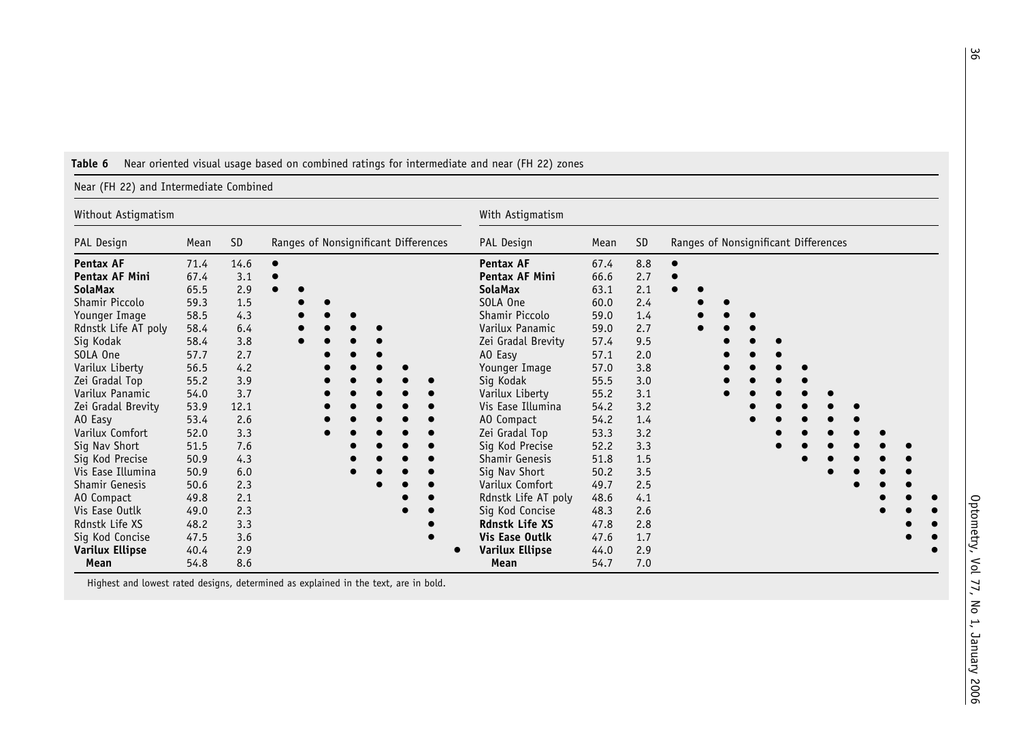| Near (FH 22) and Intermediate Combined                                                                                                                                                                                                                                                                                                                                |                                                                                                                                                              |                                                                                                                                            |                                      |                                                                                                                                                                                                                                                                                                                                                                        |                                                                                                                                                              |                                                                                                                                          |                                      |  |  |  |  |  |  |
|-----------------------------------------------------------------------------------------------------------------------------------------------------------------------------------------------------------------------------------------------------------------------------------------------------------------------------------------------------------------------|--------------------------------------------------------------------------------------------------------------------------------------------------------------|--------------------------------------------------------------------------------------------------------------------------------------------|--------------------------------------|------------------------------------------------------------------------------------------------------------------------------------------------------------------------------------------------------------------------------------------------------------------------------------------------------------------------------------------------------------------------|--------------------------------------------------------------------------------------------------------------------------------------------------------------|------------------------------------------------------------------------------------------------------------------------------------------|--------------------------------------|--|--|--|--|--|--|
| Without Astigmatism                                                                                                                                                                                                                                                                                                                                                   |                                                                                                                                                              |                                                                                                                                            |                                      | With Astigmatism                                                                                                                                                                                                                                                                                                                                                       |                                                                                                                                                              |                                                                                                                                          |                                      |  |  |  |  |  |  |
| PAL Design<br>Mean                                                                                                                                                                                                                                                                                                                                                    |                                                                                                                                                              | <b>SD</b>                                                                                                                                  | Ranges of Nonsignificant Differences | PAL Design                                                                                                                                                                                                                                                                                                                                                             | Mean                                                                                                                                                         | <b>SD</b>                                                                                                                                | Ranges of Nonsignificant Differences |  |  |  |  |  |  |
| <b>Pentax AF</b><br><b>Pentax AF Mini</b><br><b>SolaMax</b><br>Shamir Piccolo<br>Younger Image<br>Rdnstk Life AT poly<br>Sig Kodak<br>SOLA One<br>Varilux Liberty<br>Zei Gradal Top<br>Varilux Panamic<br>Zei Gradal Brevity<br>AO Easy<br>Varilux Comfort<br>Sig Nav Short<br>Sig Kod Precise<br>Vis Ease Illumina<br>Shamir Genesis<br>AO Compact<br>Vis Ease Outlk | 71.4<br>67.4<br>65.5<br>59.3<br>58.5<br>58.4<br>58.4<br>57.7<br>56.5<br>55.2<br>54.0<br>53.9<br>53.4<br>52.0<br>51.5<br>50.9<br>50.9<br>50.6<br>49.8<br>49.0 | 14.6<br>3.1<br>2.9<br>1.5<br>4.3<br>6.4<br>3.8<br>2.7<br>4.2<br>3.9<br>3.7<br>12.1<br>2.6<br>3.3<br>7.6<br>4.3<br>6.0<br>2.3<br>2.1<br>2.3 | $\bullet$                            | <b>Pentax AF</b><br><b>Pentax AF Mini</b><br><b>SolaMax</b><br>SOLA One<br>Shamir Piccolo<br>Varilux Panamic<br>Zei Gradal Brevity<br>AO Easy<br>Younger Image<br>Sig Kodak<br>Varilux Liberty<br>Vis Ease Illumina<br>AO Compact<br>Zei Gradal Top<br>Sig Kod Precise<br>Shamir Genesis<br>Sig Nav Short<br>Varilux Comfort<br>Rdnstk Life AT poly<br>Sig Kod Concise | 67.4<br>66.6<br>63.1<br>60.0<br>59.0<br>59.0<br>57.4<br>57.1<br>57.0<br>55.5<br>55.2<br>54.2<br>54.2<br>53.3<br>52.2<br>51.8<br>50.2<br>49.7<br>48.6<br>48.3 | 8.8<br>2.7<br>2.1<br>2.4<br>1.4<br>2.7<br>9.5<br>2.0<br>3.8<br>3.0<br>3.1<br>3.2<br>1.4<br>3.2<br>3.3<br>1.5<br>3.5<br>2.5<br>4.1<br>2.6 |                                      |  |  |  |  |  |  |
| Rdnstk Life XS<br>Sig Kod Concise<br>Varilux Ellipse<br>Mean                                                                                                                                                                                                                                                                                                          | 48.2<br>47.5<br>40.4<br>54.8                                                                                                                                 | 3.3<br>3.6<br>2.9<br>8.6                                                                                                                   |                                      | <b>Rdnstk Life XS</b><br><b>Vis Ease Outlk</b><br>Varilux Ellipse<br>Mean                                                                                                                                                                                                                                                                                              | 47.8<br>47.6<br>44.0<br>54.7                                                                                                                                 | 2.8<br>1.7<br>2.9<br>7.0                                                                                                                 |                                      |  |  |  |  |  |  |

**Table 6** Near oriented visual usage based on combined ratings for intermediate and near (FH 22) zones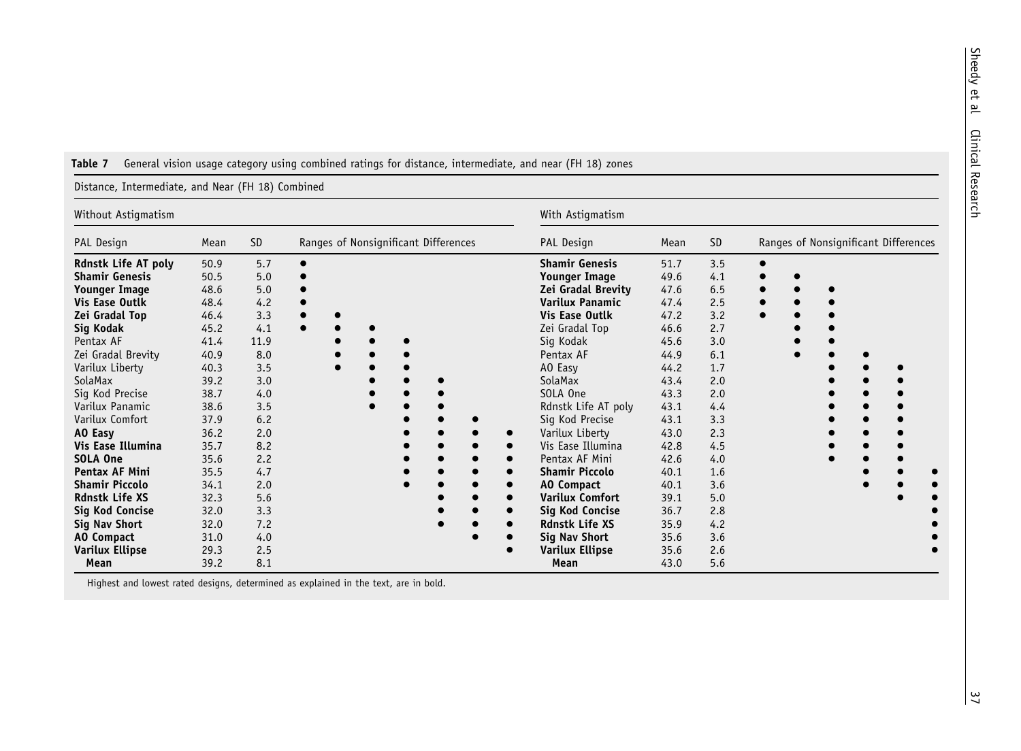**Table 7** General vision usage category using combined ratings for distance, intermediate, and near (FH 18) zones

| Without Astigmatism                                                                                                                                                                                                                                                                                |                                                                                                                              |                                                                                                               |  |  |  |                                      |  |  |  | With Astigmatism                                                                                                                                                                                                                                                                           |                                                                                                                              |                                                                                                              |                        |  |  |  |                                      |  |
|----------------------------------------------------------------------------------------------------------------------------------------------------------------------------------------------------------------------------------------------------------------------------------------------------|------------------------------------------------------------------------------------------------------------------------------|---------------------------------------------------------------------------------------------------------------|--|--|--|--------------------------------------|--|--|--|--------------------------------------------------------------------------------------------------------------------------------------------------------------------------------------------------------------------------------------------------------------------------------------------|------------------------------------------------------------------------------------------------------------------------------|--------------------------------------------------------------------------------------------------------------|------------------------|--|--|--|--------------------------------------|--|
| PAL Design                                                                                                                                                                                                                                                                                         | Mean                                                                                                                         | SD                                                                                                            |  |  |  | Ranges of Nonsignificant Differences |  |  |  | PAL Design                                                                                                                                                                                                                                                                                 | Mean                                                                                                                         | SD                                                                                                           |                        |  |  |  | Ranges of Nonsignificant Differences |  |
| <b>Rdnstk Life AT poly</b><br><b>Shamir Genesis</b><br>Younger Image<br><b>Vis Ease Outlk</b><br>Zei Gradal Top<br>Sig Kodak<br>Pentax AF<br>Zei Gradal Brevity<br>Varilux Liberty<br>SolaMax<br>Sig Kod Precise<br>Varilux Panamic<br>Varilux Comfort<br>AO Easy<br>Vis Ease Illumina<br>SOLA One | 50.9<br>50.5<br>48.6<br>48.4<br>46.4<br>45.2<br>41.4<br>40.9<br>40.3<br>39.2<br>38.7<br>38.6<br>37.9<br>36.2<br>35.7<br>35.6 | 5.7<br>5.0<br>5.0<br>4.2<br>3.3<br>4.1<br>11.9<br>8.0<br>3.5<br>3.0<br>4.0<br>3.5<br>6.2<br>2.0<br>8.2<br>2.2 |  |  |  |                                      |  |  |  | <b>Shamir Genesis</b><br><b>Younger Image</b><br>Zei Gradal Brevity<br>Varilux Panamic<br>Vis Ease Outlk<br>Zei Gradal Top<br>Sig Kodak<br>Pentax AF<br>AO Easy<br>SolaMax<br>SOLA One<br>Rdnstk Life AT poly<br>Sig Kod Precise<br>Varilux Liberty<br>Vis Ease Illumina<br>Pentax AF Mini | 51.7<br>49.6<br>47.6<br>47.4<br>47.2<br>46.6<br>45.6<br>44.9<br>44.2<br>43.4<br>43.3<br>43.1<br>43.1<br>43.0<br>42.8<br>42.6 | 3.5<br>4.1<br>6.5<br>2.5<br>3.2<br>2.7<br>3.0<br>6.1<br>1.7<br>2.0<br>2.0<br>4.4<br>3.3<br>2.3<br>4.5<br>4.0 | $\bullet$<br>$\bullet$ |  |  |  |                                      |  |
| Pentax AF Mini<br><b>Shamir Piccolo</b><br><b>Rdnstk Life XS</b><br><b>Sig Kod Concise</b><br>Sig Nav Short<br>AO Compact<br>Varilux Ellipse<br>Mean                                                                                                                                               | 35.5<br>34.1<br>32.3<br>32.0<br>32.0<br>31.0<br>29.3<br>39.2                                                                 | 4.7<br>2.0<br>5.6<br>3.3<br>7.2<br>4.0<br>2.5<br>8.1                                                          |  |  |  |                                      |  |  |  | <b>Shamir Piccolo</b><br><b>AO Compact</b><br><b>Varilux Comfort</b><br><b>Sig Kod Concise</b><br><b>Rdnstk Life XS</b><br>Sig Nav Short<br><b>Varilux Ellipse</b><br>Mean                                                                                                                 | 40.1<br>40.1<br>39.1<br>36.7<br>35.9<br>35.6<br>35.6<br>43.0                                                                 | 1.6<br>3.6<br>5.0<br>2.8<br>4.2<br>3.6<br>2.6<br>5.6                                                         |                        |  |  |  |                                      |  |

Distance, Intermediate, and Near (FH 18) Combined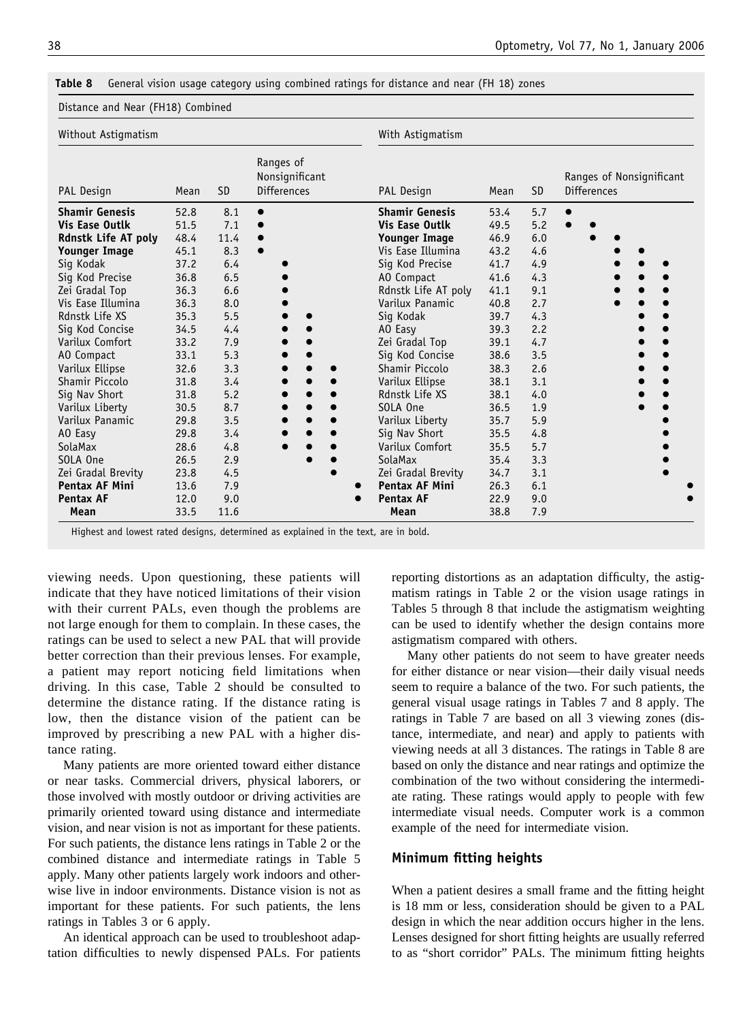**Table 8** General vision usage category using combined ratings for distance and near (FH 18) zones

Distance and Near (FH18) Combined

| Without Astigmatism        |      |           |                                                   | With Astigmatism      |      |           |                                                |  |  |  |  |  |
|----------------------------|------|-----------|---------------------------------------------------|-----------------------|------|-----------|------------------------------------------------|--|--|--|--|--|
| PAL Design                 | Mean | <b>SD</b> | Ranges of<br>Nonsignificant<br><b>Differences</b> | PAL Design            | Mean | <b>SD</b> | Ranges of Nonsignificant<br><b>Differences</b> |  |  |  |  |  |
| <b>Shamir Genesis</b>      | 52.8 | 8.1       | $\bullet$                                         | <b>Shamir Genesis</b> | 53.4 | 5.7       | $\bullet$                                      |  |  |  |  |  |
| Vis Ease Outlk             | 51.5 | 7.1       |                                                   | Vis Ease Outlk        | 49.5 | 5.2       | $\bullet$                                      |  |  |  |  |  |
| <b>Rdnstk Life AT poly</b> | 48.4 | 11.4      | $\bullet$                                         | Younger Image         | 46.9 | 6.0       |                                                |  |  |  |  |  |
| <b>Younger Image</b>       | 45.1 | 8.3       |                                                   | Vis Ease Illumina     | 43.2 | 4.6       |                                                |  |  |  |  |  |
| Sig Kodak                  | 37.2 | 6.4       |                                                   | Sig Kod Precise       | 41.7 | 4.9       |                                                |  |  |  |  |  |
| Sig Kod Precise            | 36.8 | 6.5       |                                                   | AO Compact            | 41.6 | 4.3       |                                                |  |  |  |  |  |
| Zei Gradal Top             | 36.3 | 6.6       |                                                   | Rdnstk Life AT poly   | 41.1 | 9.1       |                                                |  |  |  |  |  |
| Vis Ease Illumina          | 36.3 | 8.0       |                                                   | Varilux Panamic       | 40.8 | 2.7       |                                                |  |  |  |  |  |
| Rdnstk Life XS             | 35.3 | 5.5       |                                                   | Sig Kodak             | 39.7 | 4.3       |                                                |  |  |  |  |  |
| Sig Kod Concise            | 34.5 | 4.4       |                                                   | AO Easy               | 39.3 | 2.2       |                                                |  |  |  |  |  |
| Varilux Comfort            | 33.2 | 7.9       |                                                   | Zei Gradal Top        | 39.1 | 4.7       |                                                |  |  |  |  |  |
| AO Compact                 | 33.1 | 5.3       |                                                   | Sig Kod Concise       | 38.6 | 3.5       |                                                |  |  |  |  |  |
| Varilux Ellipse            | 32.6 | 3.3       |                                                   | Shamir Piccolo        | 38.3 | 2.6       |                                                |  |  |  |  |  |
| Shamir Piccolo             | 31.8 | 3.4       |                                                   | Varilux Ellipse       | 38.1 | 3.1       |                                                |  |  |  |  |  |
| Sig Nav Short              | 31.8 | 5.2       |                                                   | Rdnstk Life XS        | 38.1 | 4.0       |                                                |  |  |  |  |  |
| Varilux Liberty            | 30.5 | 8.7       |                                                   | SOLA One              | 36.5 | 1.9       |                                                |  |  |  |  |  |
| Varilux Panamic            | 29.8 | 3.5       |                                                   | Varilux Liberty       | 35.7 | 5.9       |                                                |  |  |  |  |  |
| AO Easy                    | 29.8 | 3.4       |                                                   | Sig Nav Short         | 35.5 | 4.8       |                                                |  |  |  |  |  |
| SolaMax                    | 28.6 | 4.8       |                                                   | Varilux Comfort       | 35.5 | 5.7       |                                                |  |  |  |  |  |
| SOLA One                   | 26.5 | 2.9       |                                                   | SolaMax               | 35.4 | 3.3       |                                                |  |  |  |  |  |
| Zei Gradal Brevity         | 23.8 | 4.5       |                                                   | Zei Gradal Brevity    | 34.7 | 3.1       |                                                |  |  |  |  |  |
| <b>Pentax AF Mini</b>      | 13.6 | 7.9       |                                                   | <b>Pentax AF Mini</b> | 26.3 | 6.1       |                                                |  |  |  |  |  |
| <b>Pentax AF</b>           | 12.0 | 9.0       |                                                   | <b>Pentax AF</b>      | 22.9 | 9.0       |                                                |  |  |  |  |  |
| Mean                       | 33.5 | 11.6      |                                                   | Mean                  | 38.8 | 7.9       |                                                |  |  |  |  |  |

Highest and lowest rated designs, determined as explained in the text, are in bold.

viewing needs. Upon questioning, these patients will indicate that they have noticed limitations of their vision with their current PALs, even though the problems are not large enough for them to complain. In these cases, the ratings can be used to select a new PAL that will provide better correction than their previous lenses. For example, a patient may report noticing field limitations when driving. In this case, Table 2 should be consulted to determine the distance rating. If the distance rating is low, then the distance vision of the patient can be improved by prescribing a new PAL with a higher distance rating.

Many patients are more oriented toward either distance or near tasks. Commercial drivers, physical laborers, or those involved with mostly outdoor or driving activities are primarily oriented toward using distance and intermediate vision, and near vision is not as important for these patients. For such patients, the distance lens ratings in Table 2 or the combined distance and intermediate ratings in Table 5 apply. Many other patients largely work indoors and otherwise live in indoor environments. Distance vision is not as important for these patients. For such patients, the lens ratings in Tables 3 or 6 apply.

An identical approach can be used to troubleshoot adaptation difficulties to newly dispensed PALs. For patients

reporting distortions as an adaptation difficulty, the astigmatism ratings in Table 2 or the vision usage ratings in Tables 5 through 8 that include the astigmatism weighting can be used to identify whether the design contains more astigmatism compared with others.

Many other patients do not seem to have greater needs for either distance or near vision—their daily visual needs seem to require a balance of the two. For such patients, the general visual usage ratings in Tables 7 and 8 apply. The ratings in Table 7 are based on all 3 viewing zones (distance, intermediate, and near) and apply to patients with viewing needs at all 3 distances. The ratings in Table 8 are based on only the distance and near ratings and optimize the combination of the two without considering the intermediate rating. These ratings would apply to people with few intermediate visual needs. Computer work is a common example of the need for intermediate vision.

# **Minimum fitting heights**

When a patient desires a small frame and the fitting height is 18 mm or less, consideration should be given to a PAL design in which the near addition occurs higher in the lens. Lenses designed for short fitting heights are usually referred to as "short corridor" PALs. The minimum fitting heights